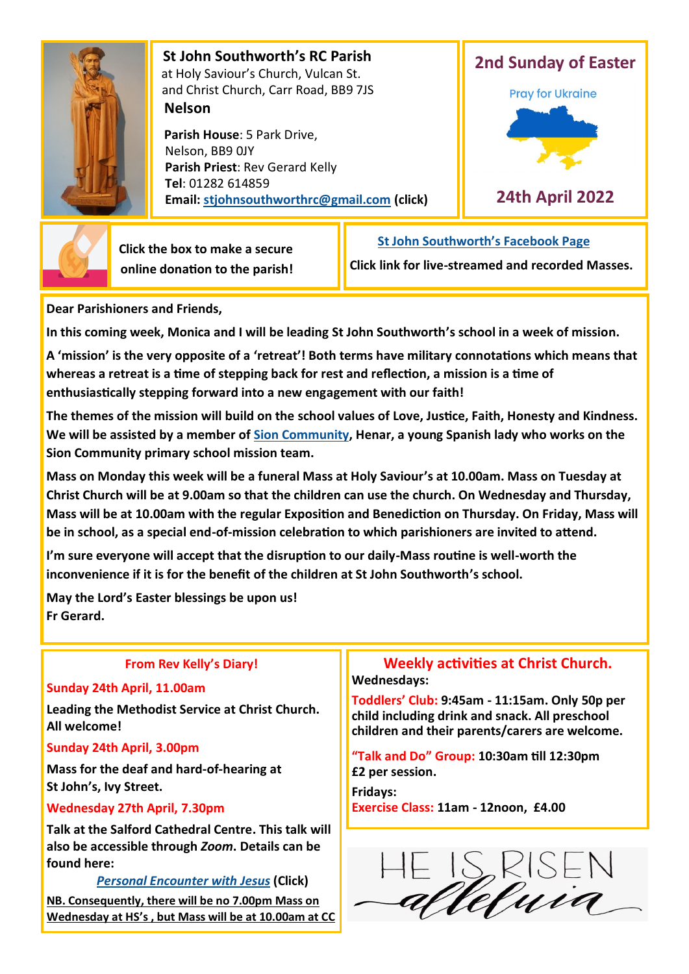

 **St John Southworth's RC Parish** at Holy Saviour's Church, Vulcan St. and Christ Church, Carr Road, BB9 7JS **Nelson**

 **Parish House**: 5 Park Drive, Nelson, BB9 0JY **Parish Priest**: Rev Gerard Kelly **Tel**: 01282 614859 **Email: [stjohnsouthworthrc@gmail.com](mailto:stjohnsouthworth@gmail.com) (click)**





 **Click the box to make a secure online donation to the parish!** **[St John Southworth](https://www.facebook.com/Parish-of-St-John-Southworth-in-Nelson-105718084323986)'s Facebook Page**

**Click link for live-streamed and recorded Masses.**

**Dear Parishioners and Friends,**

**In this coming week, Monica and I will be leading St John Southworth's school in a week of mission.** 

**A 'mission' is the very opposite of a 'retreat'! Both terms have military connotations which means that whereas a retreat is a time of stepping back for rest and reflection, a mission is a time of enthusiastically stepping forward into a new engagement with our faith!**

**The themes of the mission will build on the school values of Love, Justice, Faith, Honesty and Kindness. We will be assisted by a member of [Sion Community,](https://sioncommunity.org.uk/) Henar, a young Spanish lady who works on the Sion Community primary school mission team.** 

**Mass on Monday this week will be a funeral Mass at Holy Saviour's at 10.00am. Mass on Tuesday at Christ Church will be at 9.00am so that the children can use the church. On Wednesday and Thursday, Mass will be at 10.00am with the regular Exposition and Benediction on Thursday. On Friday, Mass will be in school, as a special end-of-mission celebration to which parishioners are invited to attend.**

**I'm sure everyone will accept that the disruption to our daily-Mass routine is well-worth the inconvenience if it is for the benefit of the children at St John Southworth's school.**

**May the Lord's Easter blessings be upon us! Fr Gerard.** 

# **From Rev Kelly's Diary!**

## **Sunday 24th April, 11.00am**

**Leading the Methodist Service at Christ Church. All welcome!**

# **Sunday 24th April, 3.00pm**

**Mass for the deaf and hard-of-hearing at St John's, Ivy Street.**

# **Wednesday 27th April, 7.30pm**

**Talk at the Salford Cathedral Centre. This talk will also be accessible through** *Zoom***. Details can be found here:**

 *[Personal Encounter with Jesus](https://www.dioceseofsalford.org.uk/personal-encounter-with-jesus/)* **(Click)**

**NB. Consequently, there will be no 7.00pm Mass on Wednesday at HS's , but Mass will be at 10.00am at CC**

# **Weekly activities at Christ Church. Wednesdays:**

**Toddlers' Club: 9:45am - 11:15am. Only 50p per child including drink and snack. All preschool children and their parents/carers are welcome.**

**"Talk and Do" Group: 10:30am till 12:30pm £2 per session.** 

**Fridays: Exercise Class: 11am - 12noon, £4.00**